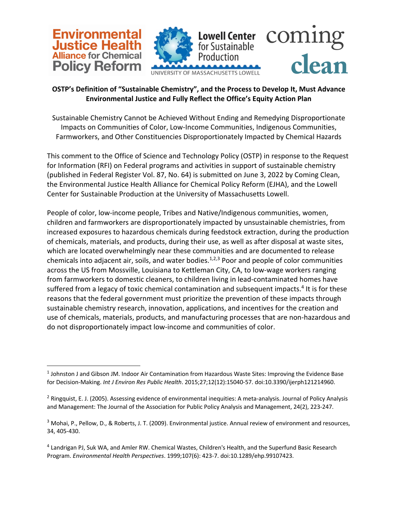

## **OSTP's Definition of "Sustainable Chemistry", and the Process to Develop It, Must Advance Environmental Justice and Fully Reflect the Office's Equity Action Plan**

Sustainable Chemistry Cannot be Achieved Without Ending and Remedying Disproportionate Impacts on Communities of Color, Low-Income Communities, Indigenous Communities, Farmworkers, and Other Constituencies Disproportionately Impacted by Chemical Hazards

This comment to the Office of Science and Technology Policy (OSTP) in response to the Request for Information (RFI) on Federal programs and activities in support of sustainable chemistry (published in Federal Register Vol. 87, No. 64) is submitted on June 3, 2022 by Coming Clean, the Environmental Justice Health Alliance for Chemical Policy Reform (EJHA), and the Lowell Center for Sustainable Production at the University of Massachusetts Lowell.

People of color, low-income people, Tribes and Native/Indigenous communities, women, children and farmworkers are disproportionately impacted by unsustainable chemistries, from increased exposures to hazardous chemicals during feedstock extraction, during the production of chemicals, materials, and products, during their use, as well as after disposal at waste sites, which are located overwhelmingly near these communities and are documented to release chemicals into adjacent air, soils, and water bodies.<sup>1,2,3</sup> Poor and people of color communities across the US from Mossville, Louisiana to Kettleman City, CA, to low-wage workers ranging from farmworkers to domestic cleaners, to children living in lead-contaminated homes have suffered from a legacy of toxic chemical contamination and subsequent impacts.<sup>4</sup> It is for these reasons that the federal government must prioritize the prevention of these impacts through sustainable chemistry research, innovation, applications, and incentives for the creation and use of chemicals, materials, products, and manufacturing processes that are non-hazardous and do not disproportionately impact low-income and communities of color.

 $<sup>1</sup>$  Johnston J and Gibson JM. Indoor Air Contamination from Hazardous Waste Sites: Improving the Evidence Base</sup> for Decision-Making. *Int J Environ Res Public Health*. 2015;27;12(12):15040-57. doi:10.3390/ijerph121214960.

<sup>2</sup> Ringquist, E. J. (2005). Assessing evidence of environmental inequities: A meta-analysis. Journal of Policy Analysis and Management: The Journal of the Association for Public Policy Analysis and Management, 24(2), 223-247.

<sup>&</sup>lt;sup>3</sup> Mohai, P., Pellow, D., & Roberts, J. T. (2009). Environmental justice. Annual review of environment and resources, 34, 405-430.

<sup>4</sup> Landrigan PJ, Suk WA, and Amler RW. Chemical Wastes, Children's Health, and the Superfund Basic Research Program. *Environmental Health Perspectives*. 1999;107(6): 423-7. doi:10.1289/ehp.99107423.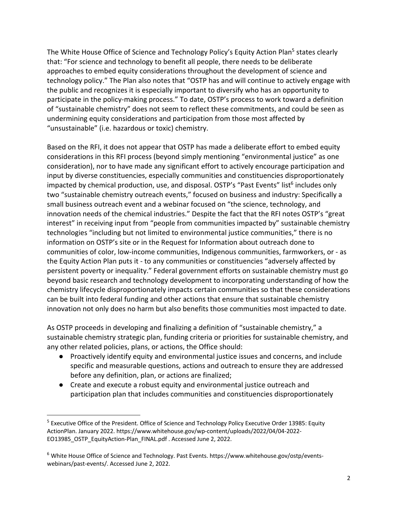The White House Office of Science and Technology Policy's Equity Action Plan<sup>5</sup> states clearly that: "For science and technology to benefit all people, there needs to be deliberate approaches to embed equity considerations throughout the development of science and technology policy." The Plan also notes that "OSTP has and will continue to actively engage with the public and recognizes it is especially important to diversify who has an opportunity to participate in the policy-making process." To date, OSTP's process to work toward a definition of "sustainable chemistry" does not seem to reflect these commitments, and could be seen as undermining equity considerations and participation from those most affected by "unsustainable" (i.e. hazardous or toxic) chemistry.

Based on the RFI, it does not appear that OSTP has made a deliberate effort to embed equity considerations in this RFI process (beyond simply mentioning "environmental justice" as one consideration), nor to have made any significant effort to actively encourage participation and input by diverse constituencies, especially communities and constituencies disproportionately impacted by chemical production, use, and disposal. OSTP's "Past Events" list<sup>6</sup> includes only two "sustainable chemistry outreach events," focused on business and industry: Specifically a small business outreach event and a webinar focused on "the science, technology, and innovation needs of the chemical industries." Despite the fact that the RFI notes OSTP's "great interest" in receiving input from "people from communities impacted by" sustainable chemistry technologies "including but not limited to environmental justice communities," there is no information on OSTP's site or in the Request for Information about outreach done to communities of color, low-income communities, Indigenous communities, farmworkers, or - as the Equity Action Plan puts it - to any communities or constituencies "adversely affected by persistent poverty or inequality." Federal government efforts on sustainable chemistry must go beyond basic research and technology development to incorporating understanding of how the chemistry lifecycle disproportionately impacts certain communities so that these considerations can be built into federal funding and other actions that ensure that sustainable chemistry innovation not only does no harm but also benefits those communities most impacted to date.

As OSTP proceeds in developing and finalizing a definition of "sustainable chemistry," a sustainable chemistry strategic plan, funding criteria or priorities for sustainable chemistry, and any other related policies, plans, or actions, the Office should:

- Proactively identify equity and environmental justice issues and concerns, and include specific and measurable questions, actions and outreach to ensure they are addressed before any definition, plan, or actions are finalized;
- Create and execute a robust equity and environmental justice outreach and participation plan that includes communities and constituencies disproportionately

<sup>&</sup>lt;sup>5</sup> Executive Office of the President. Office of Science and Technology Policy Executive Order 13985: Equity ActionPlan. January 2022. https://www.whitehouse.gov/wp-content/uploads/2022/04/04-2022- EO13985\_OSTP\_EquityAction-Plan\_FINAL.pdf . Accessed June 2, 2022.

<sup>6</sup> White House Office of Science and Technology. Past Events. https://www.whitehouse.gov/ostp/eventswebinars/past-events/. Accessed June 2, 2022.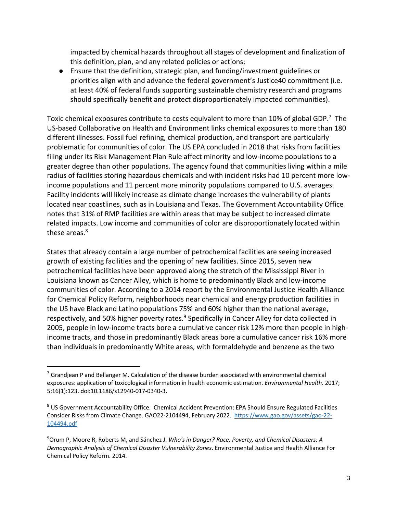impacted by chemical hazards throughout all stages of development and finalization of this definition, plan, and any related policies or actions;

● Ensure that the definition, strategic plan, and funding/investment guidelines or priorities align with and advance the federal government's Justice40 commitment (i.e. at least 40% of federal funds supporting sustainable chemistry research and programs should specifically benefit and protect disproportionately impacted communities).

Toxic chemical exposures contribute to costs equivalent to more than 10% of global GDP.<sup>7</sup> The US-based Collaborative on Health and Environment links chemical exposures to more than 180 different illnesses. Fossil fuel refining, chemical production, and transport are particularly problematic for communities of color. The US EPA concluded in 2018 that risks from facilities filing under its Risk Management Plan Rule affect minority and low-income populations to a greater degree than other populations. The agency found that communities living within a mile radius of facilities storing hazardous chemicals and with incident risks had 10 percent more lowincome populations and 11 percent more minority populations compared to U.S. averages. Facility incidents will likely increase as climate change increases the vulnerability of plants located near coastlines, such as in Louisiana and Texas. The Government Accountability Office notes that 31% of RMP facilities are within areas that may be subject to increased climate related impacts. Low income and communities of color are disproportionately located within these areas. $8<sup>8</sup>$ 

States that already contain a large number of petrochemical facilities are seeing increased growth of existing facilities and the opening of new facilities. Since 2015, seven new petrochemical facilities have been approved along the stretch of the Mississippi River in Louisiana known as Cancer Alley, which is home to predominantly Black and low-income communities of color. According to a 2014 report by the Environmental Justice Health Alliance for Chemical Policy Reform, neighborhoods near chemical and energy production facilities in the US have Black and Latino populations 75% and 60% higher than the national average, respectively, and 50% higher poverty rates.<sup>9</sup> Specifically in Cancer Alley for data collected in 2005, people in low-income tracts bore a cumulative cancer risk 12% more than people in highincome tracts, and those in predominantly Black areas bore a cumulative cancer risk 16% more than individuals in predominantly White areas, with formaldehyde and benzene as the two

 $7$  Grandjean P and Bellanger M. Calculation of the disease burden associated with environmental chemical exposures: application of toxicological information in health economic estimation. *Environmental Health*. 2017; 5;16(1):123. doi:10.1186/s12940-017-0340-3.

<sup>&</sup>lt;sup>8</sup> US Government Accountability Office. Chemical Accident Prevention: EPA Should Ensure Regulated Facilities Consider Risks from Climate Change. GAO22-2104494, February 2022. https://www.gao.gov/assets/gao-22- 104494.pdf

<sup>9</sup> Orum P, Moore R, Roberts M, and Sánchez J. *Who's in Danger? Race, Poverty, and Chemical Disasters: A Demographic Analysis of Chemical Disaster Vulnerability Zones*. Environmental Justice and Health Alliance For Chemical Policy Reform. 2014.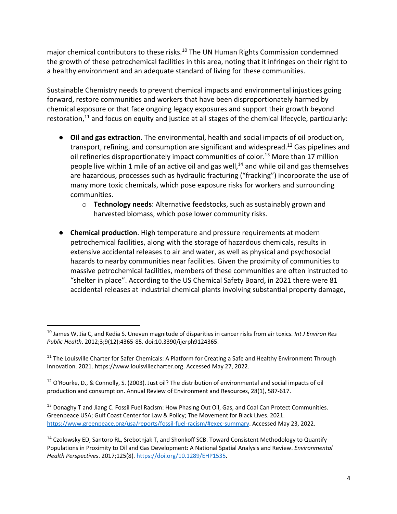major chemical contributors to these risks.<sup>10</sup> The UN Human Rights Commission condemned the growth of these petrochemical facilities in this area, noting that it infringes on their right to a healthy environment and an adequate standard of living for these communities.

Sustainable Chemistry needs to prevent chemical impacts and environmental injustices going forward, restore communities and workers that have been disproportionately harmed by chemical exposure or that face ongoing legacy exposures and support their growth beyond restoration, $11$  and focus on equity and justice at all stages of the chemical lifecycle, particularly:

- **Oil and gas extraction**. The environmental, health and social impacts of oil production, transport, refining, and consumption are significant and widespread.<sup>12</sup> Gas pipelines and oil refineries disproportionately impact communities of color.<sup>13</sup> More than 17 million people live within 1 mile of an active oil and gas well, $14$  and while oil and gas themselves are hazardous, processes such as hydraulic fracturing ("fracking") incorporate the use of many more toxic chemicals, which pose exposure risks for workers and surrounding communities.
	- o **Technology needs**: Alternative feedstocks, such as sustainably grown and harvested biomass, which pose lower community risks.
- **Chemical production**. High temperature and pressure requirements at modern petrochemical facilities, along with the storage of hazardous chemicals, results in extensive accidental releases to air and water, as well as physical and psychosocial hazards to nearby communities near facilities. Given the proximity of communities to massive petrochemical facilities, members of these communities are often instructed to "shelter in place". According to the US Chemical Safety Board, in 2021 there were 81 accidental releases at industrial chemical plants involving substantial property damage,

<sup>10</sup> James W, Jia C, and Kedia S. Uneven magnitude of disparities in cancer risks from air toxics. *Int J Environ Res Public Health*. 2012;3;9(12):4365-85. doi:10.3390/ijerph9124365.

<sup>&</sup>lt;sup>11</sup> The Louisville Charter for Safer Chemicals: A Platform for Creating a Safe and Healthy Environment Through Innovation. 2021. https://www.louisvillecharter.org. Accessed May 27, 2022.

 $12$  O'Rourke, D., & Connolly, S. (2003). Just oil? The distribution of environmental and social impacts of oil production and consumption. Annual Review of Environment and Resources, 28(1), 587-617.

<sup>&</sup>lt;sup>13</sup> Donaghy T and Jiang C. Fossil Fuel Racism: How Phasing Out Oil, Gas, and Coal Can Protect Communities. Greenpeace USA; Gulf Coast Center for Law & Policy; The Movement for Black Lives. 2021. https://www.greenpeace.org/usa/reports/fossil-fuel-racism/#exec-summary. Accessed May 23, 2022.

<sup>&</sup>lt;sup>14</sup> Czolowsky ED, Santoro RL, Srebotnjak T, and Shonkoff SCB. Toward Consistent Methodology to Quantify Populations in Proximity to Oil and Gas Development: A National Spatial Analysis and Review. *Environmental Health Perspectives*. 2017;125(8). https://doi.org/10.1289/EHP1535.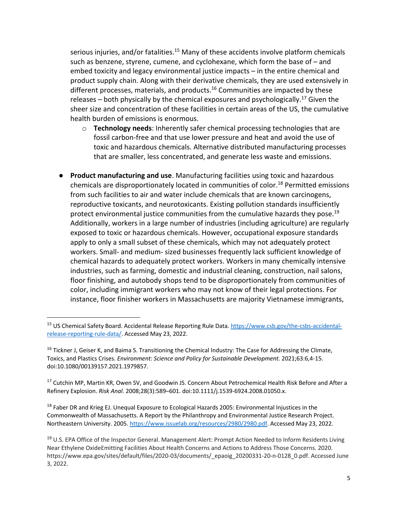serious injuries, and/or fatalities.<sup>15</sup> Many of these accidents involve platform chemicals such as benzene, styrene, cumene, and cyclohexane, which form the base of – and embed toxicity and legacy environmental justice impacts – in the entire chemical and product supply chain. Along with their derivative chemicals, they are used extensively in different processes, materials, and products.<sup>16</sup> Communities are impacted by these releases  $-$  both physically by the chemical exposures and psychologically.<sup>17</sup> Given the sheer size and concentration of these facilities in certain areas of the US, the cumulative health burden of emissions is enormous.

- o **Technology needs**: Inherently safer chemical processing technologies that are fossil carbon-free and that use lower pressure and heat and avoid the use of toxic and hazardous chemicals. Alternative distributed manufacturing processes that are smaller, less concentrated, and generate less waste and emissions.
- **Product manufacturing and use**. Manufacturing facilities using toxic and hazardous chemicals are disproportionately located in communities of color.<sup>18</sup> Permitted emissions from such facilities to air and water include chemicals that are known carcinogens, reproductive toxicants, and neurotoxicants. Existing pollution standards insufficiently protect environmental justice communities from the cumulative hazards they pose.<sup>19</sup> Additionally, workers in a large number of industries (including agriculture) are regularly exposed to toxic or hazardous chemicals. However, occupational exposure standards apply to only a small subset of these chemicals, which may not adequately protect workers. Small- and medium- sized businesses frequently lack sufficient knowledge of chemical hazards to adequately protect workers. Workers in many chemically intensive industries, such as farming, domestic and industrial cleaning, construction, nail salons, floor finishing, and autobody shops tend to be disproportionately from communities of color, including immigrant workers who may not know of their legal protections. For instance, floor finisher workers in Massachusetts are majority Vietnamese immigrants,

<sup>18</sup> Faber DR and Krieg EJ. Unequal Exposure to Ecological Hazards 2005: Environmental Injustices in the Commonwealth of Massachusetts. A Report by the Philanthropy and Environmental Justice Research Project. Northeastern University. 2005. https://www.issuelab.org/resources/2980/2980.pdf. Accessed May 23, 2022.

<sup>15</sup> US Chemical Safety Board. Accidental Release Reporting Rule Data. https://www.csb.gov/the-csbs-accidentalrelease-reporting-rule-data/. Accessed May 23, 2022.

<sup>&</sup>lt;sup>16</sup> Tickner J, Geiser K, and Baima S. Transitioning the Chemical Industry: The Case for Addressing the Climate, Toxics, and Plastics Crises. *Environment: Science and Policy for Sustainable Development*. 2021;63:6,4-15. doi:10.1080/00139157.2021.1979857.

<sup>&</sup>lt;sup>17</sup> Cutchin MP, Martin KR, Owen SV, and Goodwin JS. Concern About Petrochemical Health Risk Before and After a Refinery Explosion. *Risk Anal*. 2008;28(3):589–601. doi:10.1111/j.1539-6924.2008.01050.x.

<sup>&</sup>lt;sup>19</sup> U.S. EPA Office of the Inspector General. Management Alert: Prompt Action Needed to Inform Residents Living Near Ethylene OxideEmitting Facilities About Health Concerns and Actions to Address Those Concerns. 2020. https://www.epa.gov/sites/default/files/2020-03/documents/\_epaoig\_20200331-20-n-0128\_0.pdf. Accessed June 3, 2022.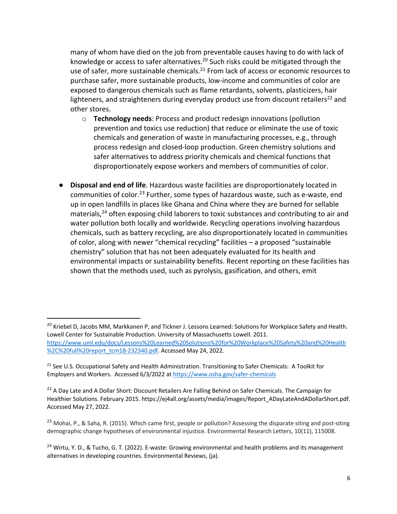many of whom have died on the job from preventable causes having to do with lack of knowledge or access to safer alternatives.<sup>20</sup> Such risks could be mitigated through the use of safer, more sustainable chemicals.<sup>21</sup> From lack of access or economic resources to purchase safer, more sustainable products, low-income and communities of color are exposed to dangerous chemicals such as flame retardants, solvents, plasticizers, hair lighteners, and straighteners during everyday product use from discount retailers<sup>22</sup> and other stores.

- o **Technology needs**: Process and product redesign innovations (pollution prevention and toxics use reduction) that reduce or eliminate the use of toxic chemicals and generation of waste in manufacturing processes, e.g., through process redesign and closed-loop production. Green chemistry solutions and safer alternatives to address priority chemicals and chemical functions that disproportionately expose workers and members of communities of color.
- **Disposal and end of life**. Hazardous waste facilities are disproportionately located in communities of color.<sup>23</sup> Further, some types of hazardous waste, such as e-waste, end up in open landfills in places like Ghana and China where they are burned for sellable materials, $24$  often exposing child laborers to toxic substances and contributing to air and water pollution both locally and worldwide. Recycling operations involving hazardous chemicals, such as battery recycling, are also disproportionately located in communities of color, along with newer "chemical recycling" facilities – a proposed "sustainable chemistry" solution that has not been adequately evaluated for its health and environmental impacts or sustainability benefits. Recent reporting on these facilities has shown that the methods used, such as pyrolysis, gasification, and others, emit

<sup>&</sup>lt;sup>20</sup> Kriebel D, Jacobs MM, Markkanen P, and Tickner J. Lessons Learned: Solutions for Workplace Safety and Health. Lowell Center for Sustainable Production. University of Massachusetts Lowell. 2011. https://www.uml.edu/docs/Lessons%20Learned%20Solutions%20for%20Workplace%20Safety%20and%20Health %2C%20full%20report\_tcm18-232340.pdf. Accessed May 24, 2022.

<sup>&</sup>lt;sup>21</sup> See U.S. Occupational Safety and Health Administration. Transitioning to Safer Chemicals: A Toolkit for Employers and Workers. Accessed 6/3/2022 at https://www.osha.gov/safer-chemicals

<sup>&</sup>lt;sup>22</sup> A Day Late and A Dollar Short: Discount Retailers Are Falling Behind on Safer Chemicals. The Campaign for Healthier Solutions. February 2015. https://ej4all.org/assets/media/images/Report\_ADayLateAndADollarShort.pdf. Accessed May 27, 2022.

<sup>&</sup>lt;sup>23</sup> Mohai, P., & Saha, R. (2015). Which came first, people or pollution? Assessing the disparate siting and post-siting demographic change hypotheses of environmental injustice. Environmental Research Letters, 10(11), 115008.

<sup>&</sup>lt;sup>24</sup> Wirtu, Y. D., & Tucho, G. T. (2022). E-waste: Growing environmental and health problems and its management alternatives in developing countries. Environmental Reviews, (ja).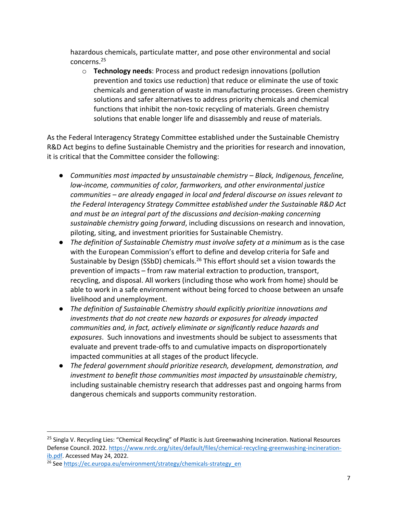hazardous chemicals, particulate matter, and pose other environmental and social concerns.25

o **Technology needs**: Process and product redesign innovations (pollution prevention and toxics use reduction) that reduce or eliminate the use of toxic chemicals and generation of waste in manufacturing processes. Green chemistry solutions and safer alternatives to address priority chemicals and chemical functions that inhibit the non-toxic recycling of materials. Green chemistry solutions that enable longer life and disassembly and reuse of materials.

As the Federal Interagency Strategy Committee established under the Sustainable Chemistry R&D Act begins to define Sustainable Chemistry and the priorities for research and innovation, it is critical that the Committee consider the following:

- *Communities most impacted by unsustainable chemistry – Black, Indigenous, fenceline, low-income, communities of color, farmworkers, and other environmental justice communities – are already engaged in local and federal discourse on issues relevant to the Federal Interagency Strategy Committee established under the Sustainable R&D Act and must be an integral part of the discussions and decision-making concerning sustainable chemistry going forward*, including discussions on research and innovation, piloting, siting, and investment priorities for Sustainable Chemistry.
- *The definition of Sustainable Chemistry must involve safety at a minimum* as is the case with the European Commission's effort to define and develop criteria for Safe and Sustainable by Design (SSbD) chemicals.<sup>26</sup> This effort should set a vision towards the prevention of impacts – from raw material extraction to production, transport, recycling, and disposal. All workers (including those who work from home) should be able to work in a safe environment without being forced to choose between an unsafe livelihood and unemployment.
- *The definition of Sustainable Chemistry should explicitly prioritize innovations and investments that do not create new hazards or exposures for already impacted communities and, in fact, actively eliminate or significantly reduce hazards and exposures*. Such innovations and investments should be subject to assessments that evaluate and prevent trade-offs to and cumulative impacts on disproportionately impacted communities at all stages of the product lifecycle.
- *The federal government should prioritize research, development, demonstration, and investment to benefit those communities most impacted by unsustainable chemistry*, including sustainable chemistry research that addresses past and ongoing harms from dangerous chemicals and supports community restoration.

<sup>&</sup>lt;sup>25</sup> Singla V. Recycling Lies: "Chemical Recycling" of Plastic is Just Greenwashing Incineration. National Resources Defense Council. 2022. https://www.nrdc.org/sites/default/files/chemical-recycling-greenwashing-incinerationib.pdf. Accessed May 24, 2022.

<sup>&</sup>lt;sup>26</sup> See https://ec.europa.eu/environment/strategy/chemicals-strategy\_en